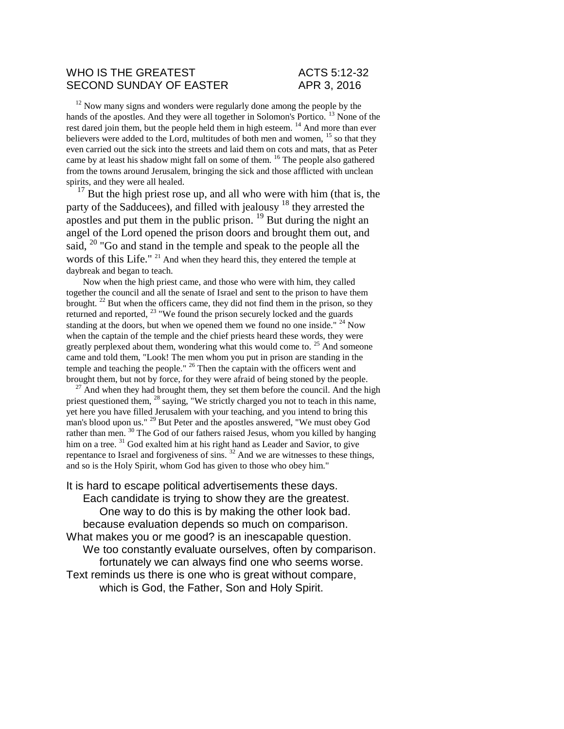### WHO IS THE GREATEST ACTS 5:12-32 SECOND SUNDAY OF EASTER APR 3, 2016

 $12$  Now many signs and wonders were regularly done among the people by the hands of the apostles. And they were all together in Solomon's Portico.<sup>13</sup> None of the rest dared join them, but the people held them in high esteem. <sup>14</sup> And more than ever believers were added to the Lord, multitudes of both men and women, <sup>15</sup> so that they even carried out the sick into the streets and laid them on cots and mats, that as Peter came by at least his shadow might fall on some of them. <sup>16</sup> The people also gathered from the towns around Jerusalem, bringing the sick and those afflicted with unclean spirits, and they were all healed.

 $17$  But the high priest rose up, and all who were with him (that is, the party of the Sadducees), and filled with jealousy <sup>18</sup> they arrested the apostles and put them in the public prison.  $^{19}$  But during the night an angel of the Lord opened the prison doors and brought them out, and said, <sup>20</sup> "Go and stand in the temple and speak to the people all the words of this Life." <sup>21</sup> And when they heard this, they entered the temple at daybreak and began to teach.

Now when the high priest came, and those who were with him, they called together the council and all the senate of Israel and sent to the prison to have them brought.  $^{22}$  But when the officers came, they did not find them in the prison, so they returned and reported, <sup>23</sup> "We found the prison securely locked and the guards standing at the doors, but when we opened them we found no one inside."  $24$  Now when the captain of the temple and the chief priests heard these words, they were greatly perplexed about them, wondering what this would come to.<sup>25</sup> And someone came and told them, "Look! The men whom you put in prison are standing in the temple and teaching the people." <sup>26</sup> Then the captain with the officers went and brought them, but not by force, for they were afraid of being stoned by the people.

 $27$  And when they had brought them, they set them before the council. And the high priest questioned them, <sup>28</sup> saying, "We strictly charged you not to teach in this name, yet here you have filled Jerusalem with your teaching, and you intend to bring this man's blood upon us." <sup>29</sup> But Peter and the apostles answered, "We must obey God rather than men.<sup>30</sup> The God of our fathers raised Jesus, whom you killed by hanging him on a tree. <sup>31</sup> God exalted him at his right hand as Leader and Savior, to give repentance to Israel and forgiveness of sins. <sup>32</sup> And we are witnesses to these things, and so is the Holy Spirit, whom God has given to those who obey him."

It is hard to escape political advertisements these days. Each candidate is trying to show they are the greatest. One way to do this is by making the other look bad. because evaluation depends so much on comparison.

What makes you or me good? is an inescapable question. We too constantly evaluate ourselves, often by comparison. fortunately we can always find one who seems worse. Text reminds us there is one who is great without compare, which is God, the Father, Son and Holy Spirit.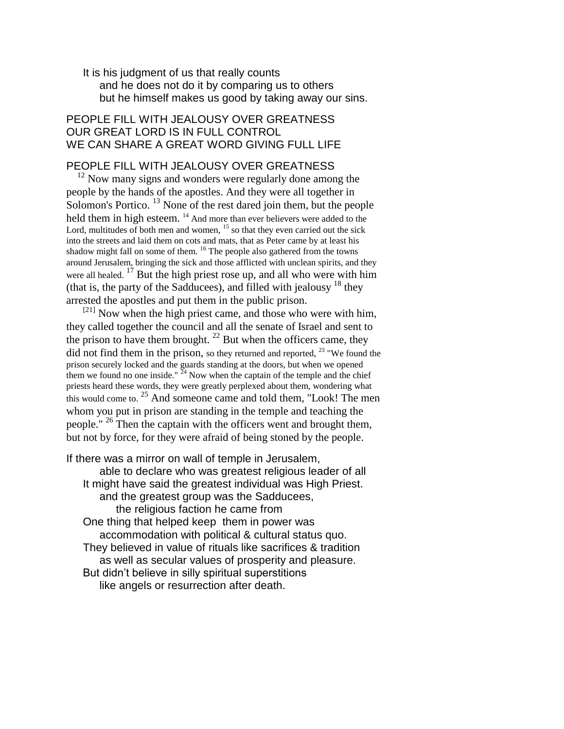It is his judgment of us that really counts and he does not do it by comparing us to others but he himself makes us good by taking away our sins.

## PEOPLE FILL WITH JEALOUSY OVER GREATNESS OUR GREAT LORD IS IN FULL CONTROL WE CAN SHARE A GREAT WORD GIVING FULL LIFE

### PEOPLE FILL WITH JEALOUSY OVER GREATNESS

 $12$  Now many signs and wonders were regularly done among the people by the hands of the apostles. And they were all together in Solomon's Portico.<sup>13</sup> None of the rest dared join them, but the people held them in high esteem. <sup>14</sup> And more than ever believers were added to the Lord, multitudes of both men and women,  $15$  so that they even carried out the sick into the streets and laid them on cots and mats, that as Peter came by at least his shadow might fall on some of them. <sup>16</sup> The people also gathered from the towns around Jerusalem, bringing the sick and those afflicted with unclean spirits, and they were all healed.<sup>17</sup> But the high priest rose up, and all who were with him (that is, the party of the Sadducees), and filled with jealousy  $18$  they arrested the apostles and put them in the public prison.

 $[21]$  Now when the high priest came, and those who were with him, they called together the council and all the senate of Israel and sent to the prison to have them brought. <sup>22</sup> But when the officers came, they did not find them in the prison, so they returned and reported,  $^{23}$  "We found the prison securely locked and the guards standing at the doors, but when we opened them we found no one inside."  $24$  Now when the captain of the temple and the chief priests heard these words, they were greatly perplexed about them, wondering what this would come to. <sup>25</sup> And someone came and told them, "Look! The men whom you put in prison are standing in the temple and teaching the people." <sup>26</sup> Then the captain with the officers went and brought them, but not by force, for they were afraid of being stoned by the people.

If there was a mirror on wall of temple in Jerusalem,

able to declare who was greatest religious leader of all It might have said the greatest individual was High Priest. and the greatest group was the Sadducees, the religious faction he came from One thing that helped keep them in power was accommodation with political & cultural status quo. They believed in value of rituals like sacrifices & tradition as well as secular values of prosperity and pleasure.

But didn't believe in silly spiritual superstitions

like angels or resurrection after death.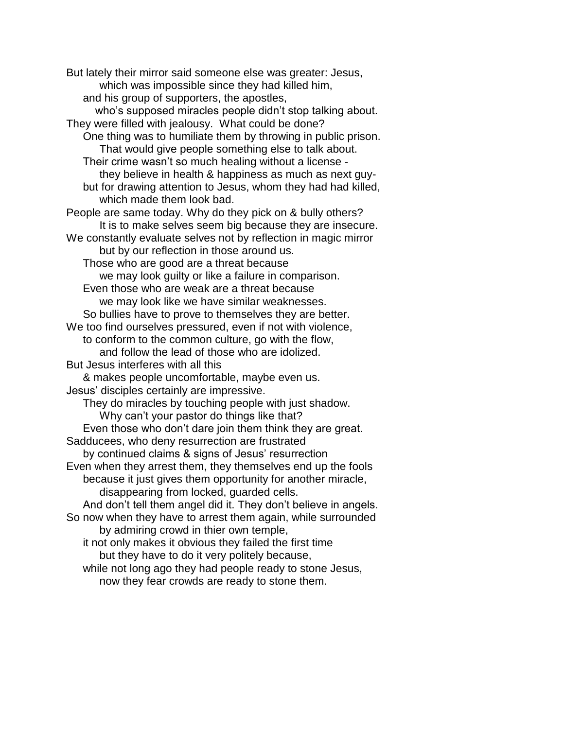But lately their mirror said someone else was greater: Jesus, which was impossible since they had killed him, and his group of supporters, the apostles, who's supposed miracles people didn't stop talking about. They were filled with jealousy. What could be done? One thing was to humiliate them by throwing in public prison. That would give people something else to talk about. Their crime wasn't so much healing without a license they believe in health & happiness as much as next guybut for drawing attention to Jesus, whom they had had killed, which made them look bad. People are same today. Why do they pick on & bully others? It is to make selves seem big because they are insecure. We constantly evaluate selves not by reflection in magic mirror but by our reflection in those around us. Those who are good are a threat because we may look guilty or like a failure in comparison. Even those who are weak are a threat because we may look like we have similar weaknesses. So bullies have to prove to themselves they are better. We too find ourselves pressured, even if not with violence, to conform to the common culture, go with the flow, and follow the lead of those who are idolized. But Jesus interferes with all this & makes people uncomfortable, maybe even us. Jesus' disciples certainly are impressive. They do miracles by touching people with just shadow. Why can't your pastor do things like that? Even those who don't dare join them think they are great. Sadducees, who deny resurrection are frustrated by continued claims & signs of Jesus' resurrection Even when they arrest them, they themselves end up the fools because it just gives them opportunity for another miracle, disappearing from locked, guarded cells. And don't tell them angel did it. They don't believe in angels. So now when they have to arrest them again, while surrounded by admiring crowd in thier own temple, it not only makes it obvious they failed the first time but they have to do it very politely because, while not long ago they had people ready to stone Jesus, now they fear crowds are ready to stone them.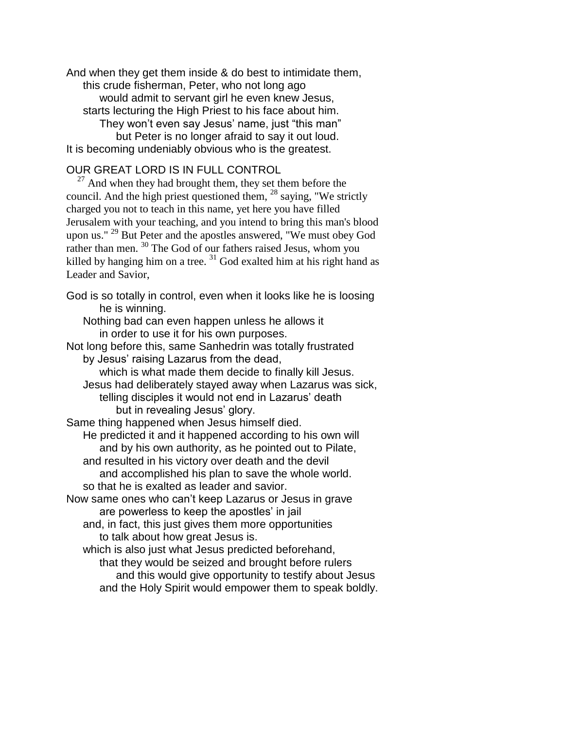And when they get them inside & do best to intimidate them, this crude fisherman, Peter, who not long ago would admit to servant girl he even knew Jesus, starts lecturing the High Priest to his face about him. They won't even say Jesus' name, just "this man" but Peter is no longer afraid to say it out loud. It is becoming undeniably obvious who is the greatest.

# OUR GREAT LORD IS IN FULL CONTROL

 $27$  And when they had brought them, they set them before the council. And the high priest questioned them,  $^{28}$  saying, "We strictly charged you not to teach in this name, yet here you have filled Jerusalem with your teaching, and you intend to bring this man's blood upon us." <sup>29</sup> But Peter and the apostles answered, "We must obey God rather than men. <sup>30</sup> The God of our fathers raised Jesus, whom you killed by hanging him on a tree.  $31$  God exalted him at his right hand as Leader and Savior,

God is so totally in control, even when it looks like he is loosing he is winning.

Nothing bad can even happen unless he allows it in order to use it for his own purposes.

Not long before this, same Sanhedrin was totally frustrated by Jesus' raising Lazarus from the dead,

which is what made them decide to finally kill Jesus. Jesus had deliberately stayed away when Lazarus was sick, telling disciples it would not end in Lazarus' death but in revealing Jesus' glory.

Same thing happened when Jesus himself died.

He predicted it and it happened according to his own will and by his own authority, as he pointed out to Pilate,

and resulted in his victory over death and the devil

and accomplished his plan to save the whole world.

so that he is exalted as leader and savior.

Now same ones who can't keep Lazarus or Jesus in grave are powerless to keep the apostles' in jail

and, in fact, this just gives them more opportunities to talk about how great Jesus is.

which is also just what Jesus predicted beforehand,

that they would be seized and brought before rulers and this would give opportunity to testify about Jesus and the Holy Spirit would empower them to speak boldly.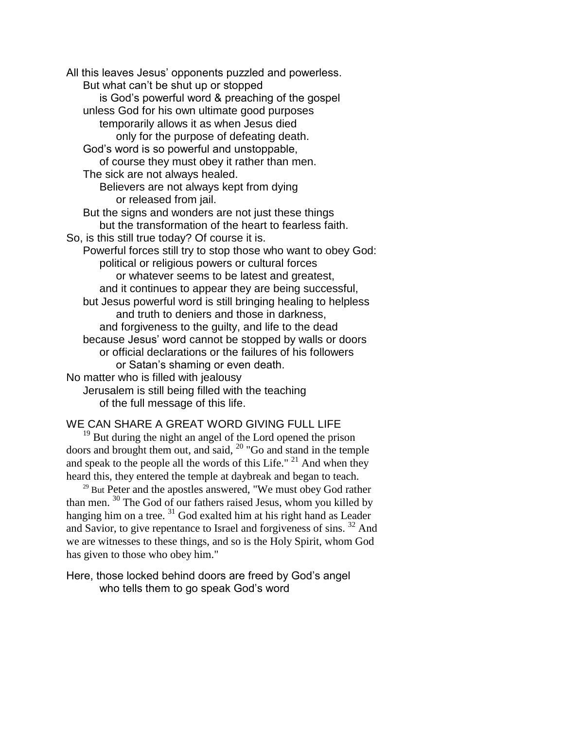All this leaves Jesus' opponents puzzled and powerless. But what can't be shut up or stopped is God's powerful word & preaching of the gospel unless God for his own ultimate good purposes temporarily allows it as when Jesus died only for the purpose of defeating death. God's word is so powerful and unstoppable, of course they must obey it rather than men. The sick are not always healed. Believers are not always kept from dying or released from jail. But the signs and wonders are not just these things but the transformation of the heart to fearless faith. So, is this still true today? Of course it is. Powerful forces still try to stop those who want to obey God: political or religious powers or cultural forces or whatever seems to be latest and greatest, and it continues to appear they are being successful, but Jesus powerful word is still bringing healing to helpless and truth to deniers and those in darkness, and forgiveness to the guilty, and life to the dead because Jesus' word cannot be stopped by walls or doors or official declarations or the failures of his followers or Satan's shaming or even death. No matter who is filled with jealousy Jerusalem is still being filled with the teaching of the full message of this life.

# WE CAN SHARE A GREAT WORD GIVING FULL LIFE

 $19<sup>19</sup>$  But during the night an angel of the Lord opened the prison doors and brought them out, and said, <sup>20</sup> "Go and stand in the temple and speak to the people all the words of this Life."  $21$  And when they heard this, they entered the temple at daybreak and began to teach.

<sup>29</sup> But Peter and the apostles answered, "We must obey God rather than men. <sup>30</sup> The God of our fathers raised Jesus, whom you killed by hanging him on a tree.<sup>31</sup> God exalted him at his right hand as Leader and Savior, to give repentance to Israel and forgiveness of sins. <sup>32</sup> And we are witnesses to these things, and so is the Holy Spirit, whom God has given to those who obey him."

Here, those locked behind doors are freed by God's angel who tells them to go speak God's word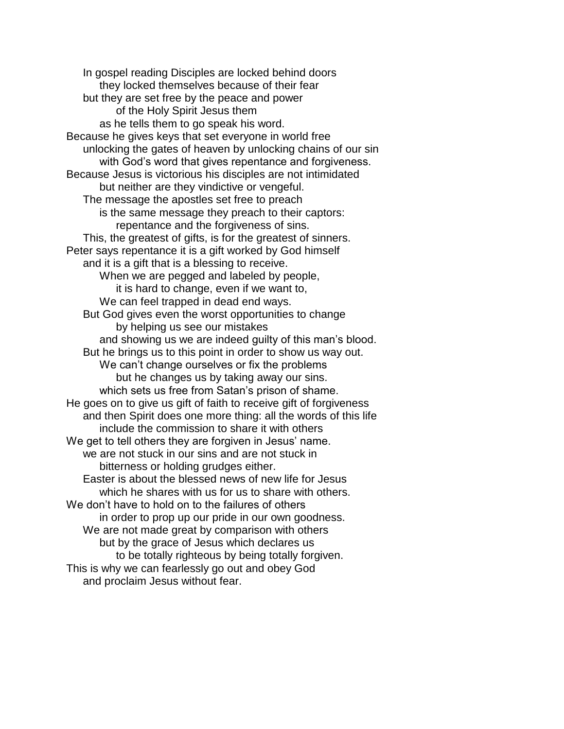In gospel reading Disciples are locked behind doors they locked themselves because of their fear but they are set free by the peace and power of the Holy Spirit Jesus them as he tells them to go speak his word. Because he gives keys that set everyone in world free unlocking the gates of heaven by unlocking chains of our sin with God's word that gives repentance and forgiveness. Because Jesus is victorious his disciples are not intimidated but neither are they vindictive or vengeful. The message the apostles set free to preach is the same message they preach to their captors: repentance and the forgiveness of sins. This, the greatest of gifts, is for the greatest of sinners. Peter says repentance it is a gift worked by God himself and it is a gift that is a blessing to receive. When we are pegged and labeled by people, it is hard to change, even if we want to, We can feel trapped in dead end ways. But God gives even the worst opportunities to change by helping us see our mistakes and showing us we are indeed guilty of this man's blood. But he brings us to this point in order to show us way out. We can't change ourselves or fix the problems but he changes us by taking away our sins. which sets us free from Satan's prison of shame. He goes on to give us gift of faith to receive gift of forgiveness and then Spirit does one more thing: all the words of this life include the commission to share it with others We get to tell others they are forgiven in Jesus' name. we are not stuck in our sins and are not stuck in bitterness or holding grudges either. Easter is about the blessed news of new life for Jesus which he shares with us for us to share with others. We don't have to hold on to the failures of others in order to prop up our pride in our own goodness. We are not made great by comparison with others but by the grace of Jesus which declares us to be totally righteous by being totally forgiven. This is why we can fearlessly go out and obey God and proclaim Jesus without fear.